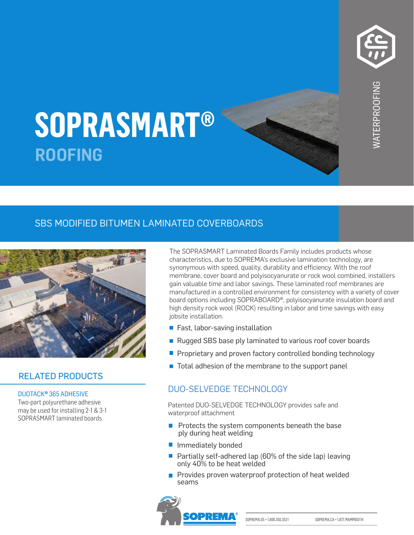

# **SOPRASMART** KUUFIN **STICK 1100 T SOPRASMART® ROOFING**

## SBS MODIFIED BITUMEN LAMINATED COVERBOARDS



## RELATED PRODUCTS

#### DUOTACK® 365 ADHESIVE

Two-part polyurethane adhesive may be used for installing 2-1 & 3-1 SOPRASMART laminated boards

The SOPRASMART Laminated Boards Family includes products whose characteristics, due to SOPREMA's exclusive lamination technology, are synonymous with speed, quality, durability and efficiency. With the roof membrane, cover board and polyisocyanurate or rock wool combined, installers gain valuable time and labor savings. These laminated roof membranes are manufactured in a controlled environment for consistency with a variety of cover board options including SOPRABOARD®, polyisocyanurate insulation board and high density rock wool (ROCK) resulting in labor and time savings with easy jobsite installation.

- Fast, labor-saving installation
- Rugged SBS base ply laminated to various roof cover boards
- **Proprietary and proven factory controlled bonding technology**
- $\blacksquare$  Total adhesion of the membrane to the support panel

## DUO-SELVEDGE TECHNOLOGY

Patented DUO-SELVEDGE TECHNOLOGY provides safe and waterproof attachment

- $\blacksquare$  Protects the system components beneath the base ply during heat welding
- **Immediately bonded**
- **Partially self-adhered lap (60% of the side lap) leaving** only 40% to be heat welded
- **Provides proven waterproof protection of heat welded** seams